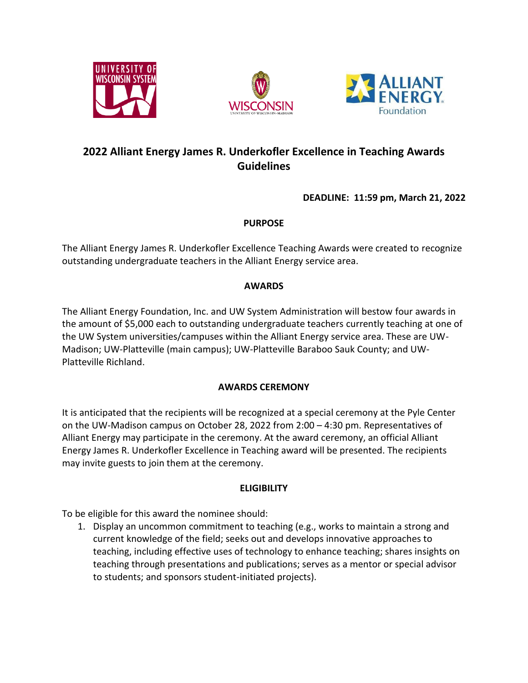





# **2022 Alliant Energy James R. Underkofler Excellence in Teaching Awards Guidelines**

**DEADLINE: 11:59 pm, March 21, 2022**

# **PURPOSE**

The Alliant Energy James R. Underkofler Excellence Teaching Awards were created to recognize outstanding undergraduate teachers in the Alliant Energy service area.

# **AWARDS**

The Alliant Energy Foundation, Inc. and UW System Administration will bestow four awards in the amount of \$5,000 each to outstanding undergraduate teachers currently teaching at one of the UW System universities/campuses within the Alliant Energy service area. These are UW-Madison; UW-Platteville (main campus); UW-Platteville Baraboo Sauk County; and UW-Platteville Richland.

# **AWARDS CEREMONY**

It is anticipated that the recipients will be recognized at a special ceremony at the Pyle Center on the UW-Madison campus on October 28, 2022 from 2:00 – 4:30 pm. Representatives of Alliant Energy may participate in the ceremony. At the award ceremony, an official Alliant Energy James R. Underkofler Excellence in Teaching award will be presented. The recipients may invite guests to join them at the ceremony.

# **ELIGIBILITY**

To be eligible for this award the nominee should:

1. Display an uncommon commitment to teaching (e.g., works to maintain a strong and current knowledge of the field; seeks out and develops innovative approaches to teaching, including effective uses of technology to enhance teaching; shares insights on teaching through presentations and publications; serves as a mentor or special advisor to students; and sponsors student-initiated projects).